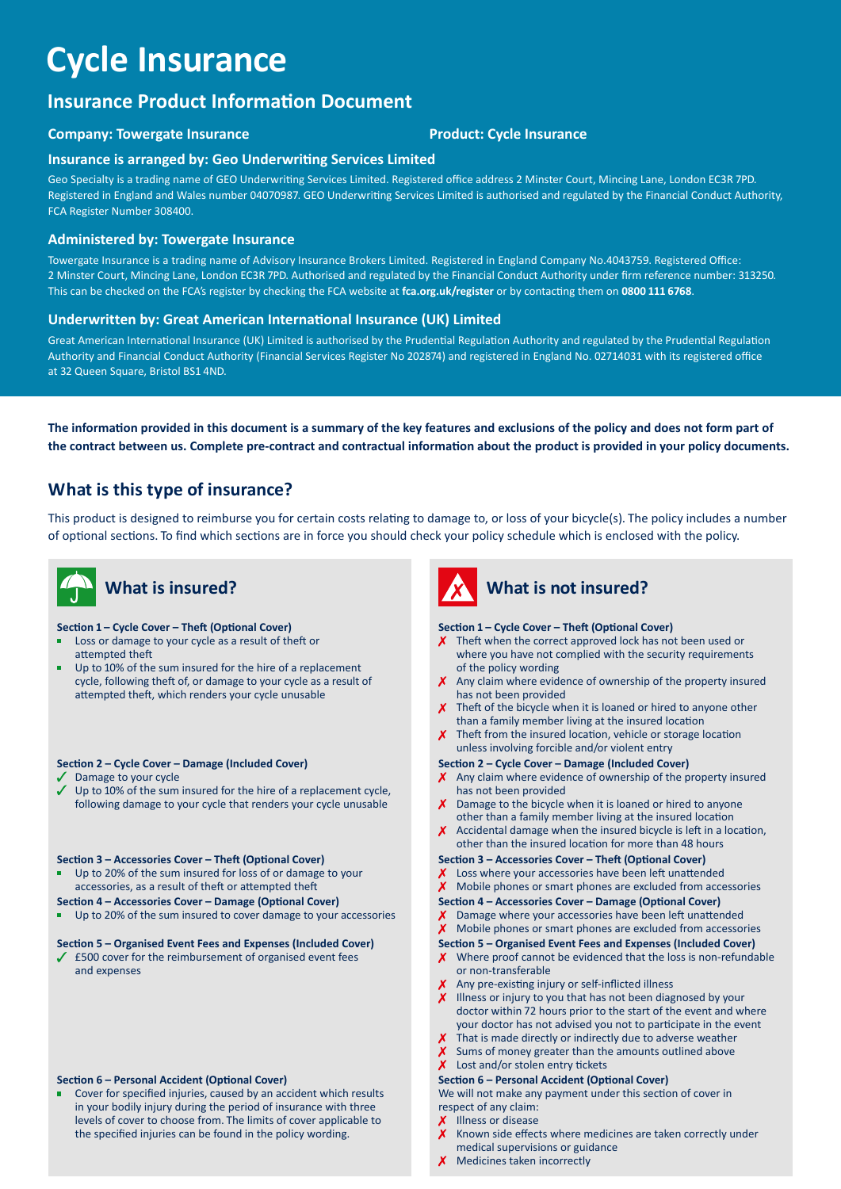# **Cycle Insurance**

### **Insurance Product Information Document**

### **Company: Towergate Insurance** *Demany:* **Towergate Insurance** *Product: Cycle Insurance*

#### **Insurance is arranged by: Geo Underwriting Services Limited**

Geo Specialty is a trading name of GEO Underwriting Services Limited. Registered office address 2 Minster Court, Mincing Lane, London EC3R 7PD. Registered in England and Wales number 04070987. GEO Underwriting Services Limited is authorised and regulated by the Financial Conduct Authority, FCA Register Number 308400.

#### **Administered by: Towergate Insurance**

Towergate Insurance is a trading name of Advisory Insurance Brokers Limited. Registered in England Company No.4043759. Registered Office: 2 Minster Court, Mincing Lane, London EC3R 7PD. Authorised and regulated by the Financial Conduct Authority under firm reference number: 313250. This can be checked on the FCA's register by checking the FCA website at **[fca.org.uk/register](https://fca.org.uk/register)** or by contacting them on **0800 111 6768**.

### **Underwritten by: Great American International Insurance (UK) Limited**

Great American International Insurance (UK) Limited is authorised by the Prudential Regulation Authority and regulated by the Prudential Regulation Authority and Financial Conduct Authority (Financial Services Register No 202874) and registered in England No. 02714031 with its registered office at 32 Queen Square, Bristol BS1 4ND.

**The information provided in this document is a summary of the key features and exclusions of the policy and does not form part of the contract between us. Complete pre-contract and contractual information about the product is provided in your policy documents.**

### **What is this type of insurance?**

This product is designed to reimburse you for certain costs relating to damage to, or loss of your bicycle(s). The policy includes a number of optional sections. To find which sections are in force you should check your policy schedule which is enclosed with the policy.

# **What is insured?**

#### **Section 1 – Cycle Cover – Theft (Optional Cover)**

- Loss or damage to your cycle as a result of theft or n attempted theft
- Up to 10% of the sum insured for the hire of a replacement cycle, following theft of, or damage to your cycle as a result of attempted theft, which renders your cycle unusable

#### **Section 2 – Cycle Cover – Damage (Included Cover)**

- Damage to your cycle
- Up to 10% of the sum insured for the hire of a replacement cycle, following damage to your cycle that renders your cycle unusable

#### **Section 3 – Accessories Cover – Theft (Optional Cover)**

٠ Up to 20% of the sum insured for loss of or damage to your accessories, as a result of theft or attempted theft

**Section 4 – Accessories Cover – Damage (Optional Cover)**

Up to 20% of the sum insured to cover damage to your accessories

#### **Section 5 – Organised Event Fees and Expenses (Included Cover)**

 $\angle$  £500 cover for the reimbursement of organised event fees and expenses

#### **Section 6 – Personal Accident (Optional Cover)**

Cover for specified injuries, caused by an accident which results in your bodily injury during the period of insurance with three levels of cover to choose from. The limits of cover applicable to the specified injuries can be found in the policy wording.



## **What is not insured?**

#### **Section 1 – Cycle Cover – Theft (Optional Cover)**

- $\chi$  Theft when the correct approved lock has not been used or where you have not complied with the security requirements of the policy wording
- $\chi$  Any claim where evidence of ownership of the property insured has not been provided
- $\chi$  Theft of the bicycle when it is loaned or hired to anyone other than a family member living at the insured location
- $\chi$  Theft from the insured location, vehicle or storage location unless involving forcible and/or violent entry

#### **Section 2 – Cycle Cover – Damage (Included Cover)**

- $X$  Any claim where evidence of ownership of the property insured has not been provided
- $\chi$  Damage to the bicycle when it is loaned or hired to anyone other than a family member living at the insured location
- $\chi$  Accidental damage when the insured bicycle is left in a location, other than the insured location for more than 48 hours

#### **Section 3 – Accessories Cover – Theft (Optional Cover)**

- X Loss where your accessories have been left unattended
- $\chi$  Mobile phones or smart phones are excluded from accessories

#### **Section 4 – Accessories Cover – Damage (Optional Cover)**

- $\chi$  Damage where your accessories have been left unattended
- $\chi$  Mobile phones or smart phones are excluded from accessories

#### **Section 5 – Organised Event Fees and Expenses (Included Cover)**

- $\chi$  Where proof cannot be evidenced that the loss is non-refundable or non-transferable
- $X$  Any pre-existing injury or self-inflicted illness
- $X$  Illness or injury to you that has not been diagnosed by your doctor within 72 hours prior to the start of the event and where your doctor has not advised you not to participate in the event
- That is made directly or indirectly due to adverse weather
- Sums of money greater than the amounts outlined above

### $\chi$  Lost and/or stolen entry tickets

**Section 6 – Personal Accident (Optional Cover)**

We will not make any payment under this section of cover in respect of any claim:

- Illness or disease
- Known side effects where medicines are taken correctly under medical supervisions or guidance
- $\chi$  Medicines taken incorrectly